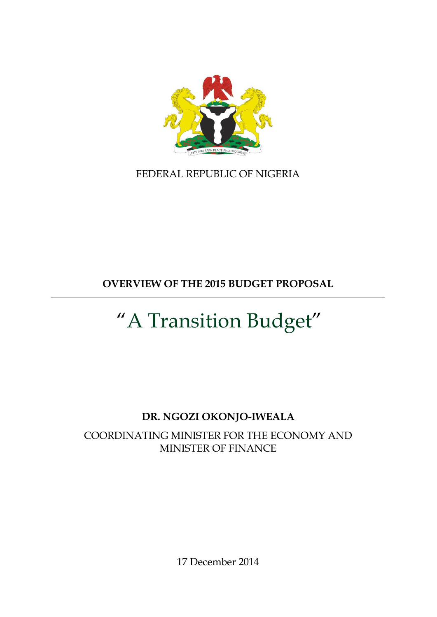

FEDERAL REPUBLIC OF NIGERIA

**OVERVIEW OF THE 2015 BUDGET PROPOSAL**

# "A Transition Budget"

# **DR. NGOZI OKONJO-IWEALA**

COORDINATING MINISTER FOR THE ECONOMY AND MINISTER OF FINANCE

17 December 2014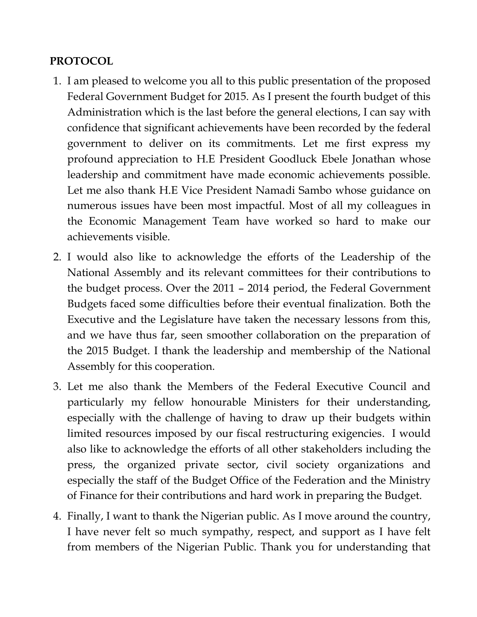# **PROTOCOL**

- 1. I am pleased to welcome you all to this public presentation of the proposed Federal Government Budget for 2015. As I present the fourth budget of this Administration which is the last before the general elections, I can say with confidence that significant achievements have been recorded by the federal government to deliver on its commitments. Let me first express my profound appreciation to H.E President Goodluck Ebele Jonathan whose leadership and commitment have made economic achievements possible. Let me also thank H.E Vice President Namadi Sambo whose guidance on numerous issues have been most impactful. Most of all my colleagues in the Economic Management Team have worked so hard to make our achievements visible.
- 2. I would also like to acknowledge the efforts of the Leadership of the National Assembly and its relevant committees for their contributions to the budget process. Over the 2011 – 2014 period, the Federal Government Budgets faced some difficulties before their eventual finalization. Both the Executive and the Legislature have taken the necessary lessons from this, and we have thus far, seen smoother collaboration on the preparation of the 2015 Budget. I thank the leadership and membership of the National Assembly for this cooperation.
- 3. Let me also thank the Members of the Federal Executive Council and particularly my fellow honourable Ministers for their understanding, especially with the challenge of having to draw up their budgets within limited resources imposed by our fiscal restructuring exigencies. I would also like to acknowledge the efforts of all other stakeholders including the press, the organized private sector, civil society organizations and especially the staff of the Budget Office of the Federation and the Ministry of Finance for their contributions and hard work in preparing the Budget.
- 4. Finally, I want to thank the Nigerian public. As I move around the country, I have never felt so much sympathy, respect, and support as I have felt from members of the Nigerian Public. Thank you for understanding that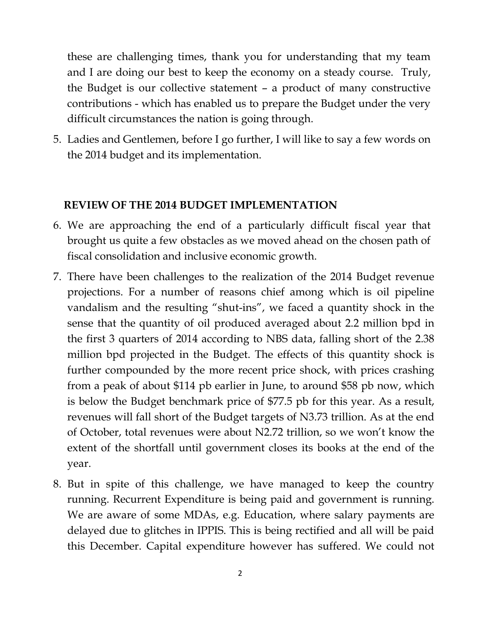these are challenging times, thank you for understanding that my team and I are doing our best to keep the economy on a steady course. Truly, the Budget is our collective statement – a product of many constructive contributions - which has enabled us to prepare the Budget under the very difficult circumstances the nation is going through.

5. Ladies and Gentlemen, before I go further, I will like to say a few words on the 2014 budget and its implementation.

#### **REVIEW OF THE 2014 BUDGET IMPLEMENTATION**

- 6. We are approaching the end of a particularly difficult fiscal year that brought us quite a few obstacles as we moved ahead on the chosen path of fiscal consolidation and inclusive economic growth.
- 7. There have been challenges to the realization of the 2014 Budget revenue projections. For a number of reasons chief among which is oil pipeline vandalism and the resulting "shut-ins", we faced a quantity shock in the sense that the quantity of oil produced averaged about 2.2 million bpd in the first 3 quarters of 2014 according to NBS data, falling short of the 2.38 million bpd projected in the Budget. The effects of this quantity shock is further compounded by the more recent price shock, with prices crashing from a peak of about \$114 pb earlier in June, to around \$58 pb now, which is below the Budget benchmark price of \$77.5 pb for this year. As a result, revenues will fall short of the Budget targets of N3.73 trillion. As at the end of October, total revenues were about N2.72 trillion, so we won't know the extent of the shortfall until government closes its books at the end of the year.
- 8. But in spite of this challenge, we have managed to keep the country running. Recurrent Expenditure is being paid and government is running. We are aware of some MDAs, e.g. Education, where salary payments are delayed due to glitches in IPPIS. This is being rectified and all will be paid this December. Capital expenditure however has suffered. We could not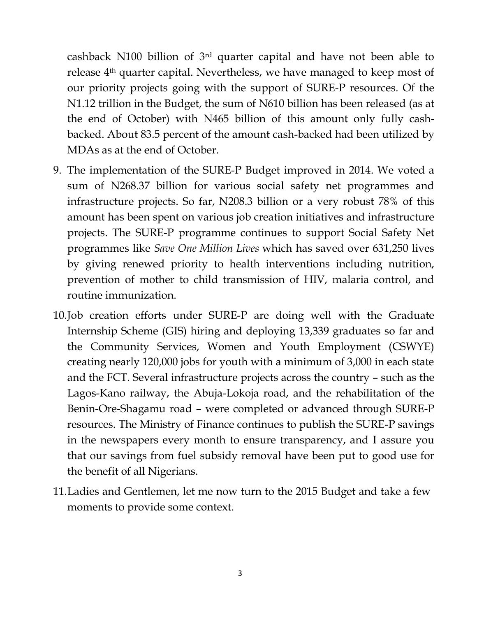cashback N100 billion of 3rd quarter capital and have not been able to release 4th quarter capital. Nevertheless, we have managed to keep most of our priority projects going with the support of SURE-P resources. Of the N1.12 trillion in the Budget, the sum of N610 billion has been released (as at the end of October) with N465 billion of this amount only fully cashbacked. About 83.5 percent of the amount cash-backed had been utilized by MDAs as at the end of October.

- 9. The implementation of the SURE-P Budget improved in 2014. We voted a sum of N268.37 billion for various social safety net programmes and infrastructure projects. So far, N208.3 billion or a very robust 78% of this amount has been spent on various job creation initiatives and infrastructure projects. The SURE-P programme continues to support Social Safety Net programmes like *Save One Million Lives* which has saved over 631,250 lives by giving renewed priority to health interventions including nutrition, prevention of mother to child transmission of HIV, malaria control, and routine immunization.
- 10.Job creation efforts under SURE-P are doing well with the Graduate Internship Scheme (GIS) hiring and deploying 13,339 graduates so far and the Community Services, Women and Youth Employment (CSWYE) creating nearly 120,000 jobs for youth with a minimum of 3,000 in each state and the FCT. Several infrastructure projects across the country – such as the Lagos-Kano railway, the Abuja-Lokoja road, and the rehabilitation of the Benin-Ore-Shagamu road – were completed or advanced through SURE-P resources. The Ministry of Finance continues to publish the SURE-P savings in the newspapers every month to ensure transparency, and I assure you that our savings from fuel subsidy removal have been put to good use for the benefit of all Nigerians.
- 11.Ladies and Gentlemen, let me now turn to the 2015 Budget and take a few moments to provide some context.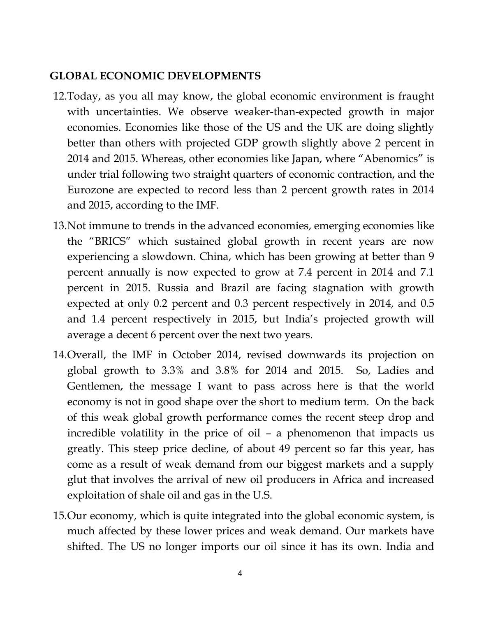## **GLOBAL ECONOMIC DEVELOPMENTS**

- 12.Today, as you all may know, the global economic environment is fraught with uncertainties. We observe weaker-than-expected growth in major economies. Economies like those of the US and the UK are doing slightly better than others with projected GDP growth slightly above 2 percent in 2014 and 2015. Whereas, other economies like Japan, where "Abenomics" is under trial following two straight quarters of economic contraction, and the Eurozone are expected to record less than 2 percent growth rates in 2014 and 2015, according to the IMF.
- 13.Not immune to trends in the advanced economies, emerging economies like the "BRICS" which sustained global growth in recent years are now experiencing a slowdown. China, which has been growing at better than 9 percent annually is now expected to grow at 7.4 percent in 2014 and 7.1 percent in 2015. Russia and Brazil are facing stagnation with growth expected at only 0.2 percent and 0.3 percent respectively in 2014, and 0.5 and 1.4 percent respectively in 2015, but India's projected growth will average a decent 6 percent over the next two years.
- 14.Overall, the IMF in October 2014, revised downwards its projection on global growth to 3.3% and 3.8% for 2014 and 2015. So, Ladies and Gentlemen, the message I want to pass across here is that the world economy is not in good shape over the short to medium term. On the back of this weak global growth performance comes the recent steep drop and incredible volatility in the price of oil – a phenomenon that impacts us greatly. This steep price decline, of about 49 percent so far this year, has come as a result of weak demand from our biggest markets and a supply glut that involves the arrival of new oil producers in Africa and increased exploitation of shale oil and gas in the U.S.
- 15.Our economy, which is quite integrated into the global economic system, is much affected by these lower prices and weak demand. Our markets have shifted. The US no longer imports our oil since it has its own. India and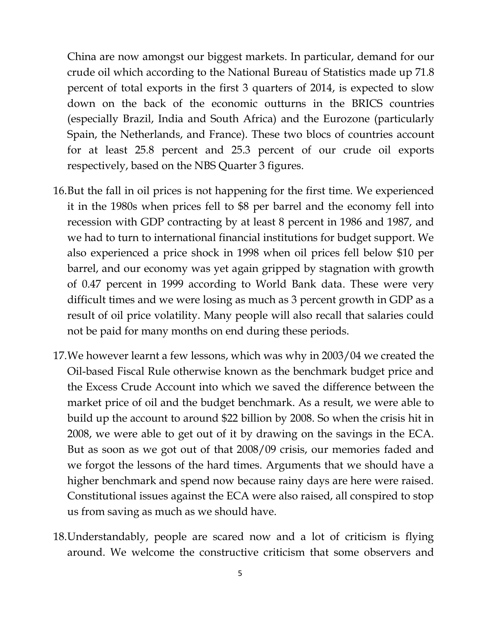China are now amongst our biggest markets. In particular, demand for our crude oil which according to the National Bureau of Statistics made up 71.8 percent of total exports in the first 3 quarters of 2014, is expected to slow down on the back of the economic outturns in the BRICS countries (especially Brazil, India and South Africa) and the Eurozone (particularly Spain, the Netherlands, and France). These two blocs of countries account for at least 25.8 percent and 25.3 percent of our crude oil exports respectively, based on the NBS Quarter 3 figures.

- 16.But the fall in oil prices is not happening for the first time. We experienced it in the 1980s when prices fell to \$8 per barrel and the economy fell into recession with GDP contracting by at least 8 percent in 1986 and 1987, and we had to turn to international financial institutions for budget support. We also experienced a price shock in 1998 when oil prices fell below \$10 per barrel, and our economy was yet again gripped by stagnation with growth of 0.47 percent in 1999 according to World Bank data. These were very difficult times and we were losing as much as 3 percent growth in GDP as a result of oil price volatility. Many people will also recall that salaries could not be paid for many months on end during these periods.
- 17.We however learnt a few lessons, which was why in 2003/04 we created the Oil-based Fiscal Rule otherwise known as the benchmark budget price and the Excess Crude Account into which we saved the difference between the market price of oil and the budget benchmark. As a result, we were able to build up the account to around \$22 billion by 2008. So when the crisis hit in 2008, we were able to get out of it by drawing on the savings in the ECA. But as soon as we got out of that 2008/09 crisis, our memories faded and we forgot the lessons of the hard times. Arguments that we should have a higher benchmark and spend now because rainy days are here were raised. Constitutional issues against the ECA were also raised, all conspired to stop us from saving as much as we should have.
- 18.Understandably, people are scared now and a lot of criticism is flying around. We welcome the constructive criticism that some observers and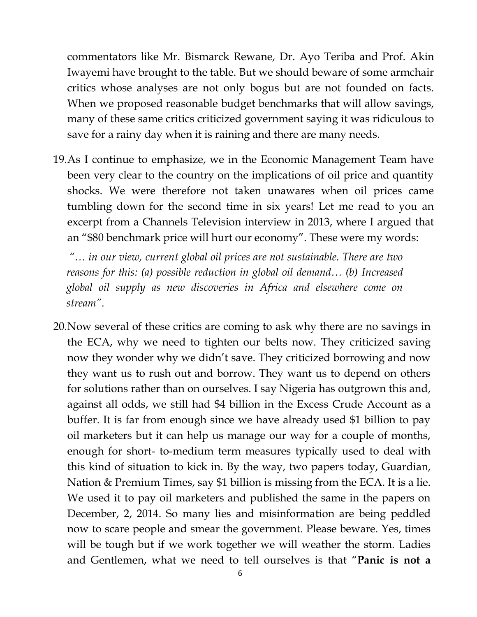commentators like Mr. Bismarck Rewane, Dr. Ayo Teriba and Prof. Akin Iwayemi have brought to the table. But we should beware of some armchair critics whose analyses are not only bogus but are not founded on facts. When we proposed reasonable budget benchmarks that will allow savings, many of these same critics criticized government saying it was ridiculous to save for a rainy day when it is raining and there are many needs.

19.As I continue to emphasize, we in the Economic Management Team have been very clear to the country on the implications of oil price and quantity shocks. We were therefore not taken unawares when oil prices came tumbling down for the second time in six years! Let me read to you an excerpt from a Channels Television interview in 2013, where I argued that an "\$80 benchmark price will hurt our economy". These were my words:

*"… in our view, current global oil prices are not sustainable. There are two reasons for this: (a) possible reduction in global oil demand... (b) Increased global oil supply as new discoveries in Africa and elsewhere come on stream"*.

20.Now several of these critics are coming to ask why there are no savings in the ECA, why we need to tighten our belts now. They criticized saving now they wonder why we didn't save. They criticized borrowing and now they want us to rush out and borrow. They want us to depend on others for solutions rather than on ourselves. I say Nigeria has outgrown this and, against all odds, we still had \$4 billion in the Excess Crude Account as a buffer. It is far from enough since we have already used \$1 billion to pay oil marketers but it can help us manage our way for a couple of months, enough for short- to-medium term measures typically used to deal with this kind of situation to kick in. By the way, two papers today, Guardian, Nation & Premium Times, say \$1 billion is missing from the ECA. It is a lie. We used it to pay oil marketers and published the same in the papers on December, 2, 2014. So many lies and misinformation are being peddled now to scare people and smear the government. Please beware. Yes, times will be tough but if we work together we will weather the storm. Ladies and Gentlemen, what we need to tell ourselves is that "**Panic is not a**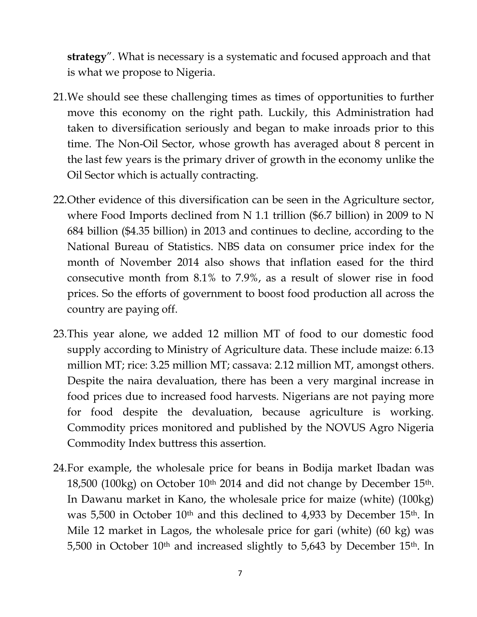**strategy**". What is necessary is a systematic and focused approach and that is what we propose to Nigeria.

- 21.We should see these challenging times as times of opportunities to further move this economy on the right path. Luckily, this Administration had taken to diversification seriously and began to make inroads prior to this time. The Non-Oil Sector, whose growth has averaged about 8 percent in the last few years is the primary driver of growth in the economy unlike the Oil Sector which is actually contracting.
- 22.Other evidence of this diversification can be seen in the Agriculture sector, where Food Imports declined from N 1.1 trillion (\$6.7 billion) in 2009 to N 684 billion (\$4.35 billion) in 2013 and continues to decline, according to the National Bureau of Statistics. NBS data on consumer price index for the month of November 2014 also shows that inflation eased for the third consecutive month from 8.1% to 7.9%, as a result of slower rise in food prices. So the efforts of government to boost food production all across the country are paying off.
- 23.This year alone, we added 12 million MT of food to our domestic food supply according to Ministry of Agriculture data. These include maize: 6.13 million MT; rice: 3.25 million MT; cassava: 2.12 million MT, amongst others. Despite the naira devaluation, there has been a very marginal increase in food prices due to increased food harvests. Nigerians are not paying more for food despite the devaluation, because agriculture is working. Commodity prices monitored and published by the NOVUS Agro Nigeria Commodity Index buttress this assertion.
- 24.For example, the wholesale price for beans in Bodija market Ibadan was 18,500 (100kg) on October 10th 2014 and did not change by December 15th. In Dawanu market in Kano, the wholesale price for maize (white) (100kg) was 5,500 in October 10<sup>th</sup> and this declined to 4,933 by December 15<sup>th</sup>. In Mile 12 market in Lagos, the wholesale price for gari (white) (60 kg) was 5,500 in October 10<sup>th</sup> and increased slightly to 5,643 by December 15<sup>th</sup>. In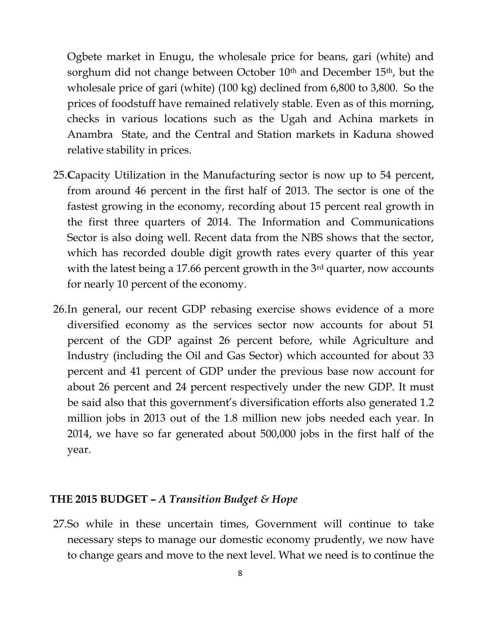Ogbete market in Enugu, the wholesale price for beans, gari (white) and sorghum did not change between October 10<sup>th</sup> and December 15<sup>th</sup>, but the wholesale price of gari (white) (100 kg) declined from 6,800 to 3,800. So the prices of foodstuff have remained relatively stable. Even as of this morning, checks in various locations such as the Ugah and Achina markets in Anambra State, and the Central and Station markets in Kaduna showed relative stability in prices.

- 25.**C**apacity Utilization in the Manufacturing sector is now up to 54 percent, from around 46 percent in the first half of 2013. The sector is one of the fastest growing in the economy, recording about 15 percent real growth in the first three quarters of 2014. The Information and Communications Sector is also doing well. Recent data from the NBS shows that the sector, which has recorded double digit growth rates every quarter of this year with the latest being a 17.66 percent growth in the 3<sup>rd</sup> quarter, now accounts for nearly 10 percent of the economy.
- 26.In general, our recent GDP rebasing exercise shows evidence of a more diversified economy as the services sector now accounts for about 51 percent of the GDP against 26 percent before, while Agriculture and Industry (including the Oil and Gas Sector) which accounted for about 33 percent and 41 percent of GDP under the previous base now account for about 26 percent and 24 percent respectively under the new GDP. It must be said also that this government's diversification efforts also generated 1.2 million jobs in 2013 out of the 1.8 million new jobs needed each year. In 2014, we have so far generated about 500,000 jobs in the first half of the year.

#### **THE 2015 BUDGET –** *A Transition Budget & Hope*

27.So while in these uncertain times, Government will continue to take necessary steps to manage our domestic economy prudently, we now have to change gears and move to the next level. What we need is to continue the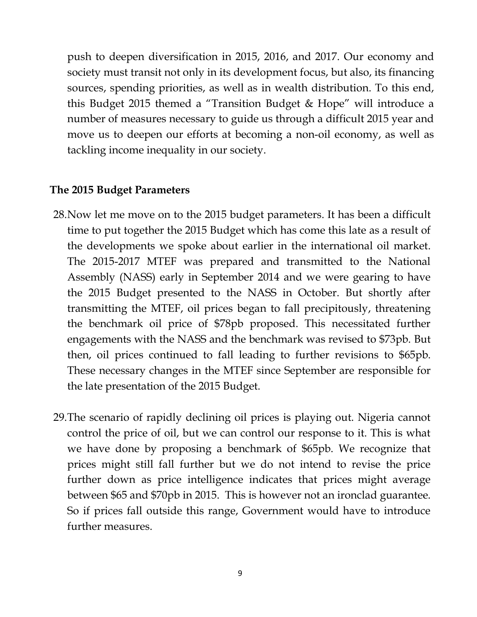push to deepen diversification in 2015, 2016, and 2017. Our economy and society must transit not only in its development focus, but also, its financing sources, spending priorities, as well as in wealth distribution. To this end, this Budget 2015 themed a "Transition Budget & Hope" will introduce a number of measures necessary to guide us through a difficult 2015 year and move us to deepen our efforts at becoming a non-oil economy, as well as tackling income inequality in our society.

#### **The 2015 Budget Parameters**

- 28.Now let me move on to the 2015 budget parameters. It has been a difficult time to put together the 2015 Budget which has come this late as a result of the developments we spoke about earlier in the international oil market. The 2015-2017 MTEF was prepared and transmitted to the National Assembly (NASS) early in September 2014 and we were gearing to have the 2015 Budget presented to the NASS in October. But shortly after transmitting the MTEF, oil prices began to fall precipitously, threatening the benchmark oil price of \$78pb proposed. This necessitated further engagements with the NASS and the benchmark was revised to \$73pb. But then, oil prices continued to fall leading to further revisions to \$65pb. These necessary changes in the MTEF since September are responsible for the late presentation of the 2015 Budget.
- 29.The scenario of rapidly declining oil prices is playing out. Nigeria cannot control the price of oil, but we can control our response to it. This is what we have done by proposing a benchmark of \$65pb. We recognize that prices might still fall further but we do not intend to revise the price further down as price intelligence indicates that prices might average between \$65 and \$70pb in 2015. This is however not an ironclad guarantee. So if prices fall outside this range, Government would have to introduce further measures.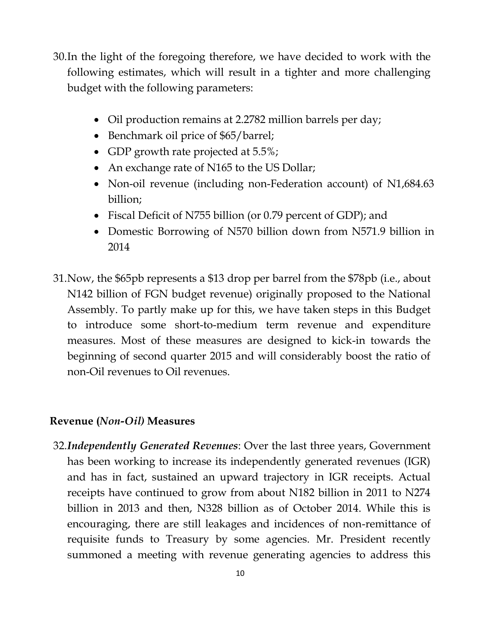- 30.In the light of the foregoing therefore, we have decided to work with the following estimates, which will result in a tighter and more challenging budget with the following parameters:
	- Oil production remains at 2.2782 million barrels per day;
	- Benchmark oil price of \$65/barrel;
	- GDP growth rate projected at 5.5%;
	- An exchange rate of N165 to the US Dollar;
	- Non-oil revenue (including non-Federation account) of N1,684.63 billion;
	- Fiscal Deficit of N755 billion (or 0.79 percent of GDP); and
	- Domestic Borrowing of N570 billion down from N571.9 billion in 2014
- 31.Now, the \$65pb represents a \$13 drop per barrel from the \$78pb (i.e., about N142 billion of FGN budget revenue) originally proposed to the National Assembly. To partly make up for this, we have taken steps in this Budget to introduce some short-to-medium term revenue and expenditure measures. Most of these measures are designed to kick-in towards the beginning of second quarter 2015 and will considerably boost the ratio of non-Oil revenues to Oil revenues.

## **Revenue (***Non-Oil)* **Measures**

32.*Independently Generated Revenues*: Over the last three years, Government has been working to increase its independently generated revenues (IGR) and has in fact, sustained an upward trajectory in IGR receipts. Actual receipts have continued to grow from about N182 billion in 2011 to N274 billion in 2013 and then, N328 billion as of October 2014. While this is encouraging, there are still leakages and incidences of non-remittance of requisite funds to Treasury by some agencies. Mr. President recently summoned a meeting with revenue generating agencies to address this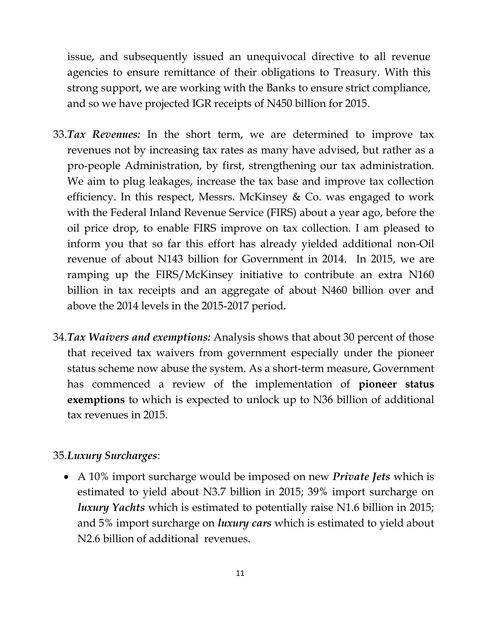issue, and subsequently issued an unequivocal directive to all revenue agencies to ensure remittance of their obligations to Treasury. With this strong support, we are working with the Banks to ensure strict compliance, and so we have projected IGR receipts of N450 billion for 2015.

- 33.*Tax Revenues:* In the short term, we are determined to improve tax revenues not by increasing tax rates as many have advised, but rather as a pro-people Administration, by first, strengthening our tax administration. We aim to plug leakages, increase the tax base and improve tax collection efficiency. In this respect, Messrs. McKinsey & Co. was engaged to work with the Federal Inland Revenue Service (FIRS) about a year ago, before the oil price drop, to enable FIRS improve on tax collection. I am pleased to inform you that so far this effort has already yielded additional non-Oil revenue of about N143 billion for Government in 2014. In 2015, we are ramping up the FIRS/McKinsey initiative to contribute an extra N160 billion in tax receipts and an aggregate of about N460 billion over and above the 2014 levels in the 2015-2017 period.
- 34.*Tax Waivers and exemptions:* Analysis shows that about 30 percent of those that received tax waivers from government especially under the pioneer status scheme now abuse the system. As a short-term measure, Government has commenced a review of the implementation of **pioneer status exemptions** to which is expected to unlock up to N36 billion of additional tax revenues in 2015.

## 35.*Luxury Surcharges*:

 A 10% import surcharge would be imposed on new *Private Jets* which is estimated to yield about N3.7 billion in 2015; 39% import surcharge on *luxury Yachts* which is estimated to potentially raise N1.6 billion in 2015; and 5% import surcharge on *luxury cars* which is estimated to yield about N2.6 billion of additional revenues.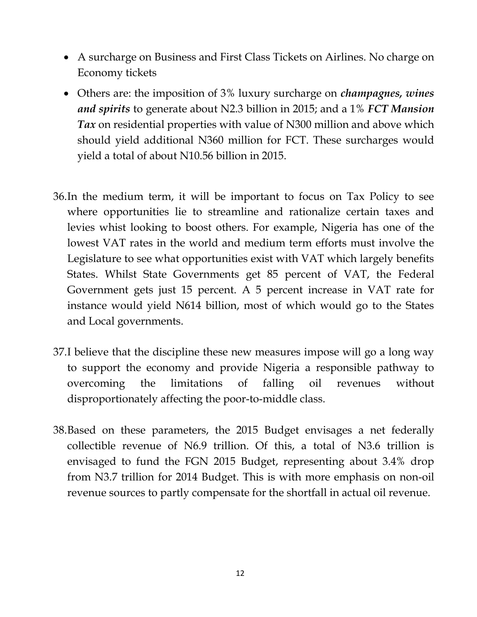- A surcharge on Business and First Class Tickets on Airlines. No charge on Economy tickets
- Others are: the imposition of 3% luxury surcharge on *champagnes, wines and spirits* to generate about N2.3 billion in 2015; and a 1% *FCT Mansion Tax* on residential properties with value of N300 million and above which should yield additional N360 million for FCT. These surcharges would yield a total of about N10.56 billion in 2015.
- 36.In the medium term, it will be important to focus on Tax Policy to see where opportunities lie to streamline and rationalize certain taxes and levies whist looking to boost others. For example, Nigeria has one of the lowest VAT rates in the world and medium term efforts must involve the Legislature to see what opportunities exist with VAT which largely benefits States. Whilst State Governments get 85 percent of VAT, the Federal Government gets just 15 percent. A 5 percent increase in VAT rate for instance would yield N614 billion, most of which would go to the States and Local governments.
- 37.I believe that the discipline these new measures impose will go a long way to support the economy and provide Nigeria a responsible pathway to overcoming the limitations of falling oil revenues without disproportionately affecting the poor-to-middle class.
- 38.Based on these parameters, the 2015 Budget envisages a net federally collectible revenue of N6.9 trillion. Of this, a total of N3.6 trillion is envisaged to fund the FGN 2015 Budget, representing about 3.4% drop from N3.7 trillion for 2014 Budget. This is with more emphasis on non-oil revenue sources to partly compensate for the shortfall in actual oil revenue.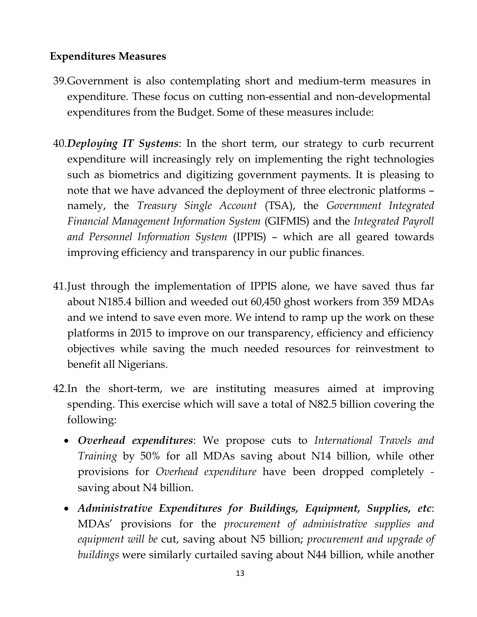## **Expenditures Measures**

- 39.Government is also contemplating short and medium-term measures in expenditure. These focus on cutting non-essential and non-developmental expenditures from the Budget. Some of these measures include:
- 40.*Deploying IT Systems*: In the short term, our strategy to curb recurrent expenditure will increasingly rely on implementing the right technologies such as biometrics and digitizing government payments. It is pleasing to note that we have advanced the deployment of three electronic platforms – namely, the *Treasury Single Account* (TSA), the *Government Integrated Financial Management Information System* (GIFMIS) and the *Integrated Payroll and Personnel Information System* (IPPIS) – which are all geared towards improving efficiency and transparency in our public finances.
- 41.Just through the implementation of IPPIS alone, we have saved thus far about N185.4 billion and weeded out 60,450 ghost workers from 359 MDAs and we intend to save even more. We intend to ramp up the work on these platforms in 2015 to improve on our transparency, efficiency and efficiency objectives while saving the much needed resources for reinvestment to benefit all Nigerians.
- 42.In the short-term, we are instituting measures aimed at improving spending. This exercise which will save a total of N82.5 billion covering the following:
	- *Overhead expenditures*: We propose cuts to *International Travels and Training* by 50% for all MDAs saving about N14 billion, while other provisions for *Overhead expenditure* have been dropped completely  saving about N4 billion.
	- *Administrative Expenditures for Buildings, Equipment, Supplies, etc*: MDAs' provisions for the *procurement of administrative supplies and equipment will be* cut, saving about N5 billion; *procurement and upgrade of buildings* were similarly curtailed saving about N44 billion, while another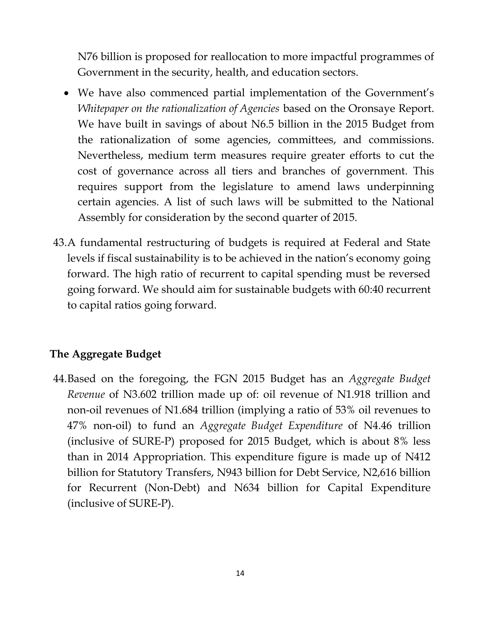N76 billion is proposed for reallocation to more impactful programmes of Government in the security, health, and education sectors.

- We have also commenced partial implementation of the Government's *Whitepaper on the rationalization of Agencies* based on the Oronsaye Report. We have built in savings of about N6.5 billion in the 2015 Budget from the rationalization of some agencies, committees, and commissions. Nevertheless, medium term measures require greater efforts to cut the cost of governance across all tiers and branches of government. This requires support from the legislature to amend laws underpinning certain agencies. A list of such laws will be submitted to the National Assembly for consideration by the second quarter of 2015.
- 43.A fundamental restructuring of budgets is required at Federal and State levels if fiscal sustainability is to be achieved in the nation's economy going forward. The high ratio of recurrent to capital spending must be reversed going forward. We should aim for sustainable budgets with 60:40 recurrent to capital ratios going forward.

## **The Aggregate Budget**

44.Based on the foregoing, the FGN 2015 Budget has an *Aggregate Budget Revenue* of N3.602 trillion made up of: oil revenue of N1.918 trillion and non-oil revenues of N1.684 trillion (implying a ratio of 53% oil revenues to 47% non-oil) to fund an *Aggregate Budget Expenditure* of N4.46 trillion (inclusive of SURE-P) proposed for 2015 Budget, which is about 8% less than in 2014 Appropriation. This expenditure figure is made up of N412 billion for Statutory Transfers, N943 billion for Debt Service, N2,616 billion for Recurrent (Non-Debt) and N634 billion for Capital Expenditure (inclusive of SURE-P).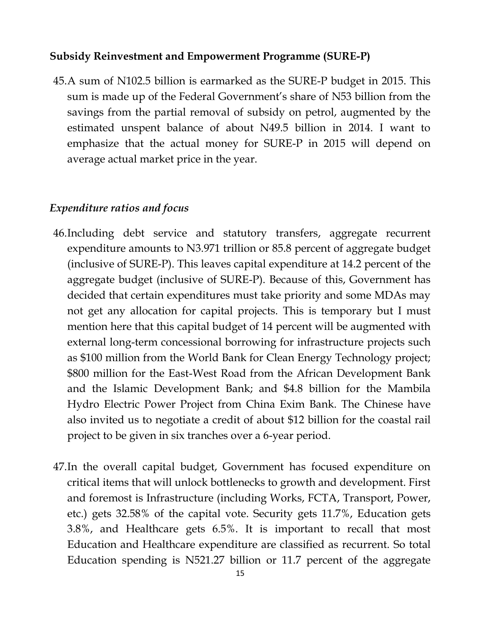#### **Subsidy Reinvestment and Empowerment Programme (SURE-P)**

45.A sum of N102.5 billion is earmarked as the SURE-P budget in 2015. This sum is made up of the Federal Government's share of N53 billion from the savings from the partial removal of subsidy on petrol, augmented by the estimated unspent balance of about N49.5 billion in 2014. I want to emphasize that the actual money for SURE-P in 2015 will depend on average actual market price in the year.

#### *Expenditure ratios and focus*

- 46.Including debt service and statutory transfers, aggregate recurrent expenditure amounts to N3.971 trillion or 85.8 percent of aggregate budget (inclusive of SURE-P). This leaves capital expenditure at 14.2 percent of the aggregate budget (inclusive of SURE-P). Because of this, Government has decided that certain expenditures must take priority and some MDAs may not get any allocation for capital projects. This is temporary but I must mention here that this capital budget of 14 percent will be augmented with external long-term concessional borrowing for infrastructure projects such as \$100 million from the World Bank for Clean Energy Technology project; \$800 million for the East-West Road from the African Development Bank and the Islamic Development Bank; and \$4.8 billion for the Mambila Hydro Electric Power Project from China Exim Bank. The Chinese have also invited us to negotiate a credit of about \$12 billion for the coastal rail project to be given in six tranches over a 6-year period.
- 47.In the overall capital budget, Government has focused expenditure on critical items that will unlock bottlenecks to growth and development. First and foremost is Infrastructure (including Works, FCTA, Transport, Power, etc.) gets 32.58% of the capital vote. Security gets 11.7%, Education gets 3.8%, and Healthcare gets 6.5%. It is important to recall that most Education and Healthcare expenditure are classified as recurrent. So total Education spending is N521.27 billion or 11.7 percent of the aggregate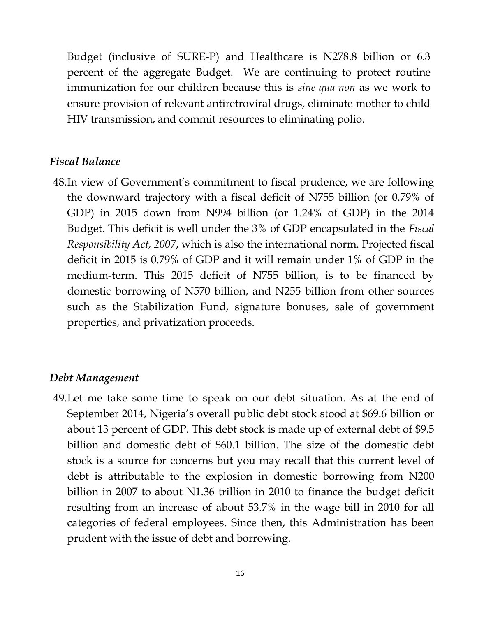Budget (inclusive of SURE-P) and Healthcare is N278.8 billion or 6.3 percent of the aggregate Budget. We are continuing to protect routine immunization for our children because this is *sine qua non* as we work to ensure provision of relevant antiretroviral drugs, eliminate mother to child HIV transmission, and commit resources to eliminating polio.

#### *Fiscal Balance*

48.In view of Government's commitment to fiscal prudence, we are following the downward trajectory with a fiscal deficit of N755 billion (or 0.79% of GDP) in 2015 down from N994 billion (or 1.24% of GDP) in the 2014 Budget. This deficit is well under the 3% of GDP encapsulated in the *Fiscal Responsibility Act, 2007*, which is also the international norm. Projected fiscal deficit in 2015 is 0.79% of GDP and it will remain under 1% of GDP in the medium-term. This 2015 deficit of N755 billion, is to be financed by domestic borrowing of N570 billion, and N255 billion from other sources such as the Stabilization Fund, signature bonuses, sale of government properties, and privatization proceeds.

#### *Debt Management*

49.Let me take some time to speak on our debt situation. As at the end of September 2014, Nigeria's overall public debt stock stood at \$69.6 billion or about 13 percent of GDP. This debt stock is made up of external debt of \$9.5 billion and domestic debt of \$60.1 billion. The size of the domestic debt stock is a source for concerns but you may recall that this current level of debt is attributable to the explosion in domestic borrowing from N200 billion in 2007 to about N1.36 trillion in 2010 to finance the budget deficit resulting from an increase of about 53.7% in the wage bill in 2010 for all categories of federal employees. Since then, this Administration has been prudent with the issue of debt and borrowing.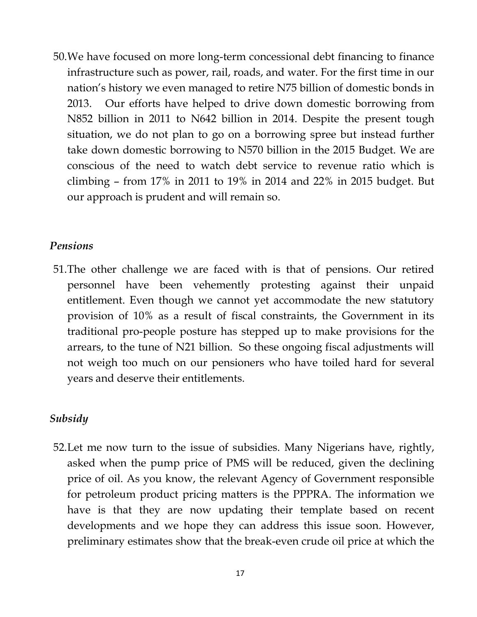50.We have focused on more long-term concessional debt financing to finance infrastructure such as power, rail, roads, and water. For the first time in our nation's history we even managed to retire N75 billion of domestic bonds in 2013. Our efforts have helped to drive down domestic borrowing from N852 billion in 2011 to N642 billion in 2014. Despite the present tough situation, we do not plan to go on a borrowing spree but instead further take down domestic borrowing to N570 billion in the 2015 Budget. We are conscious of the need to watch debt service to revenue ratio which is climbing – from 17% in 2011 to 19% in 2014 and 22% in 2015 budget. But our approach is prudent and will remain so.

#### *Pensions*

51.The other challenge we are faced with is that of pensions. Our retired personnel have been vehemently protesting against their unpaid entitlement. Even though we cannot yet accommodate the new statutory provision of 10% as a result of fiscal constraints, the Government in its traditional pro-people posture has stepped up to make provisions for the arrears, to the tune of N21 billion. So these ongoing fiscal adjustments will not weigh too much on our pensioners who have toiled hard for several years and deserve their entitlements.

#### *Subsidy*

52.Let me now turn to the issue of subsidies. Many Nigerians have, rightly, asked when the pump price of PMS will be reduced, given the declining price of oil. As you know, the relevant Agency of Government responsible for petroleum product pricing matters is the PPPRA. The information we have is that they are now updating their template based on recent developments and we hope they can address this issue soon. However, preliminary estimates show that the break-even crude oil price at which the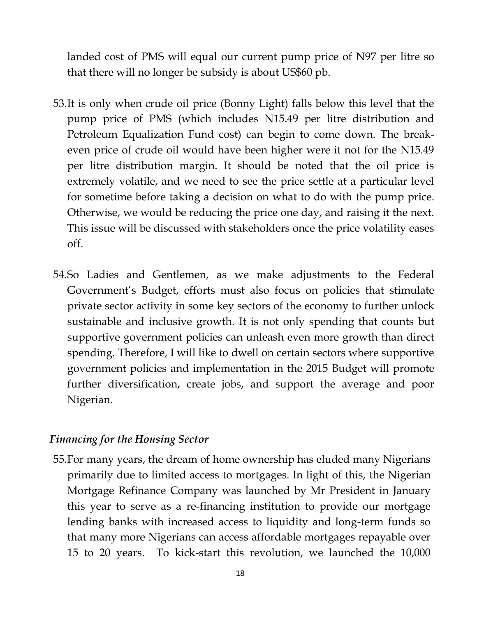landed cost of PMS will equal our current pump price of N97 per litre so that there will no longer be subsidy is about US\$60 pb.

- 53.It is only when crude oil price (Bonny Light) falls below this level that the pump price of PMS (which includes N15.49 per litre distribution and Petroleum Equalization Fund cost) can begin to come down. The breakeven price of crude oil would have been higher were it not for the N15.49 per litre distribution margin. It should be noted that the oil price is extremely volatile, and we need to see the price settle at a particular level for sometime before taking a decision on what to do with the pump price. Otherwise, we would be reducing the price one day, and raising it the next. This issue will be discussed with stakeholders once the price volatility eases off.
- 54.So Ladies and Gentlemen, as we make adjustments to the Federal Government's Budget, efforts must also focus on policies that stimulate private sector activity in some key sectors of the economy to further unlock sustainable and inclusive growth. It is not only spending that counts but supportive government policies can unleash even more growth than direct spending. Therefore, I will like to dwell on certain sectors where supportive government policies and implementation in the 2015 Budget will promote further diversification, create jobs, and support the average and poor Nigerian.

#### *Financing for the Housing Sector*

55.For many years, the dream of home ownership has eluded many Nigerians primarily due to limited access to mortgages. In light of this, the Nigerian Mortgage Refinance Company was launched by Mr President in January this year to serve as a re-financing institution to provide our mortgage lending banks with increased access to liquidity and long-term funds so that many more Nigerians can access affordable mortgages repayable over 15 to 20 years. To kick-start this revolution, we launched the 10,000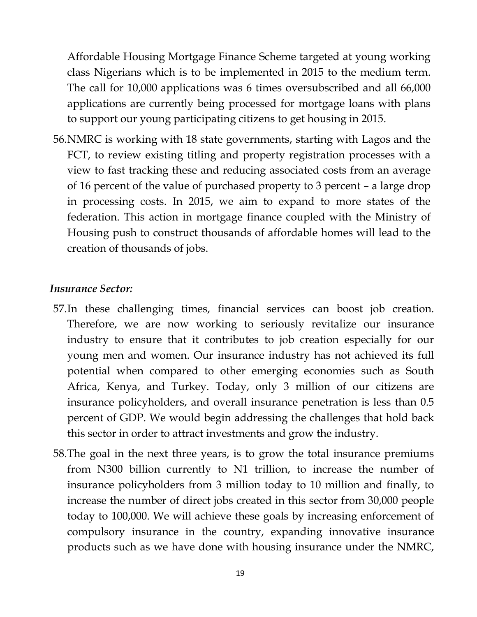Affordable Housing Mortgage Finance Scheme targeted at young working class Nigerians which is to be implemented in 2015 to the medium term. The call for 10,000 applications was 6 times oversubscribed and all 66,000 applications are currently being processed for mortgage loans with plans to support our young participating citizens to get housing in 2015.

56.NMRC is working with 18 state governments, starting with Lagos and the FCT, to review existing titling and property registration processes with a view to fast tracking these and reducing associated costs from an average of 16 percent of the value of purchased property to 3 percent – a large drop in processing costs. In 2015, we aim to expand to more states of the federation. This action in mortgage finance coupled with the Ministry of Housing push to construct thousands of affordable homes will lead to the creation of thousands of jobs.

#### *Insurance Sector:*

- 57.In these challenging times, financial services can boost job creation. Therefore, we are now working to seriously revitalize our insurance industry to ensure that it contributes to job creation especially for our young men and women. Our insurance industry has not achieved its full potential when compared to other emerging economies such as South Africa, Kenya, and Turkey. Today, only 3 million of our citizens are insurance policyholders, and overall insurance penetration is less than 0.5 percent of GDP. We would begin addressing the challenges that hold back this sector in order to attract investments and grow the industry.
- 58.The goal in the next three years, is to grow the total insurance premiums from N300 billion currently to N1 trillion, to increase the number of insurance policyholders from 3 million today to 10 million and finally, to increase the number of direct jobs created in this sector from 30,000 people today to 100,000. We will achieve these goals by increasing enforcement of compulsory insurance in the country, expanding innovative insurance products such as we have done with housing insurance under the NMRC,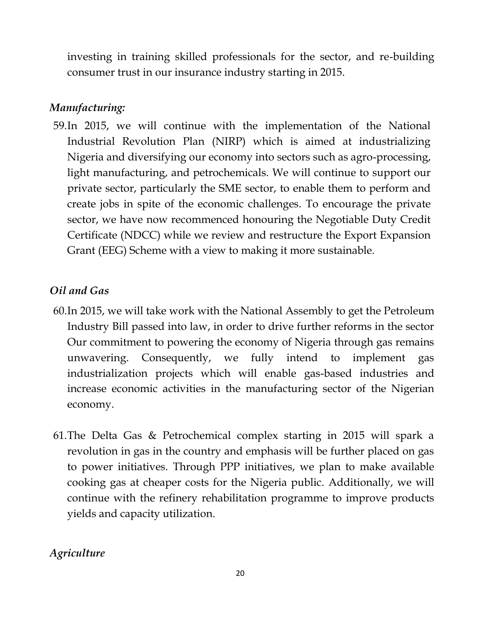investing in training skilled professionals for the sector, and re-building consumer trust in our insurance industry starting in 2015.

# *Manufacturing:*

59.In 2015, we will continue with the implementation of the National Industrial Revolution Plan (NIRP) which is aimed at industrializing Nigeria and diversifying our economy into sectors such as agro-processing, light manufacturing, and petrochemicals. We will continue to support our private sector, particularly the SME sector, to enable them to perform and create jobs in spite of the economic challenges. To encourage the private sector, we have now recommenced honouring the Negotiable Duty Credit Certificate (NDCC) while we review and restructure the Export Expansion Grant (EEG) Scheme with a view to making it more sustainable.

# *Oil and Gas*

- 60.In 2015, we will take work with the National Assembly to get the Petroleum Industry Bill passed into law, in order to drive further reforms in the sector Our commitment to powering the economy of Nigeria through gas remains unwavering. Consequently, we fully intend to implement gas industrialization projects which will enable gas-based industries and increase economic activities in the manufacturing sector of the Nigerian economy.
- 61.The Delta Gas & Petrochemical complex starting in 2015 will spark a revolution in gas in the country and emphasis will be further placed on gas to power initiatives. Through PPP initiatives, we plan to make available cooking gas at cheaper costs for the Nigeria public. Additionally, we will continue with the refinery rehabilitation programme to improve products yields and capacity utilization.

# *Agriculture*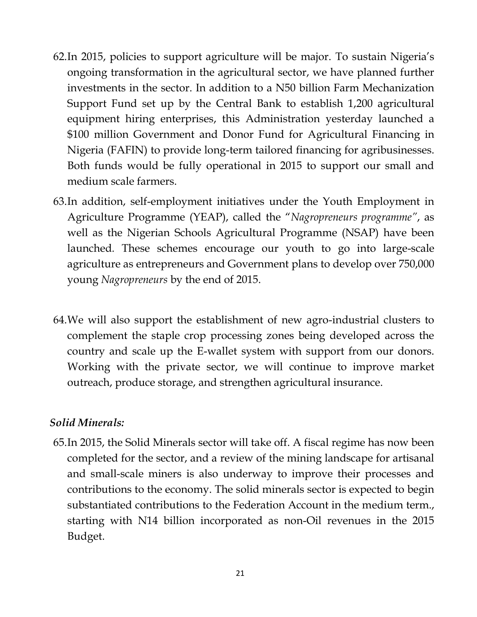- 62.In 2015, policies to support agriculture will be major. To sustain Nigeria's ongoing transformation in the agricultural sector, we have planned further investments in the sector. In addition to a N50 billion Farm Mechanization Support Fund set up by the Central Bank to establish 1,200 agricultural equipment hiring enterprises, this Administration yesterday launched a \$100 million Government and Donor Fund for Agricultural Financing in Nigeria (FAFIN) to provide long-term tailored financing for agribusinesses. Both funds would be fully operational in 2015 to support our small and medium scale farmers.
- 63.In addition, self-employment initiatives under the Youth Employment in Agriculture Programme (YEAP), called the "*Nagropreneurs programme"*, as well as the Nigerian Schools Agricultural Programme (NSAP) have been launched*.* These schemes encourage our youth to go into large-scale agriculture as entrepreneurs and Government plans to develop over 750,000 young *Nagropreneurs* by the end of 2015.
- 64.We will also support the establishment of new agro-industrial clusters to complement the staple crop processing zones being developed across the country and scale up the E-wallet system with support from our donors. Working with the private sector, we will continue to improve market outreach, produce storage, and strengthen agricultural insurance.

#### *Solid Minerals:*

65.In 2015, the Solid Minerals sector will take off. A fiscal regime has now been completed for the sector, and a review of the mining landscape for artisanal and small-scale miners is also underway to improve their processes and contributions to the economy. The solid minerals sector is expected to begin substantiated contributions to the Federation Account in the medium term., starting with N14 billion incorporated as non-Oil revenues in the 2015 Budget.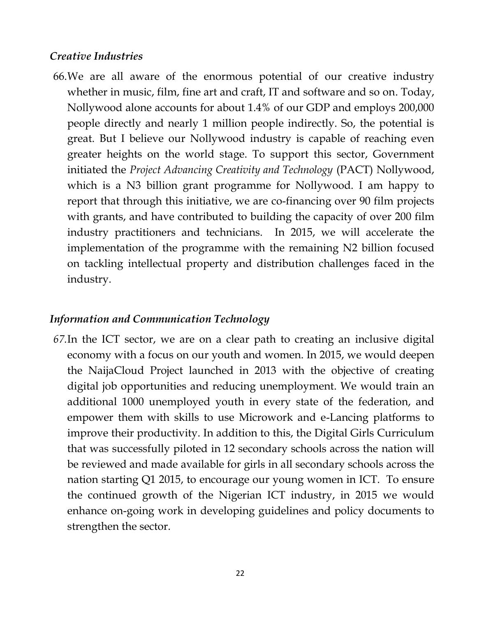#### *Creative Industries*

66.We are all aware of the enormous potential of our creative industry whether in music, film, fine art and craft, IT and software and so on. Today, Nollywood alone accounts for about 1.4% of our GDP and employs 200,000 people directly and nearly 1 million people indirectly. So, the potential is great. But I believe our Nollywood industry is capable of reaching even greater heights on the world stage. To support this sector, Government initiated the *Project Advancing Creativity and Technology* (PACT) Nollywood, which is a N3 billion grant programme for Nollywood. I am happy to report that through this initiative, we are co-financing over 90 film projects with grants, and have contributed to building the capacity of over 200 film industry practitioners and technicians. In 2015, we will accelerate the implementation of the programme with the remaining N2 billion focused on tackling intellectual property and distribution challenges faced in the industry.

#### *Information and Communication Technology*

*67.*In the ICT sector, we are on a clear path to creating an inclusive digital economy with a focus on our youth and women. In 2015, we would deepen the NaijaCloud Project launched in 2013 with the objective of creating digital job opportunities and reducing unemployment. We would train an additional 1000 unemployed youth in every state of the federation, and empower them with skills to use Microwork and e-Lancing platforms to improve their productivity. In addition to this, the Digital Girls Curriculum that was successfully piloted in 12 secondary schools across the nation will be reviewed and made available for girls in all secondary schools across the nation starting Q1 2015, to encourage our young women in ICT. To ensure the continued growth of the Nigerian ICT industry, in 2015 we would enhance on-going work in developing guidelines and policy documents to strengthen the sector.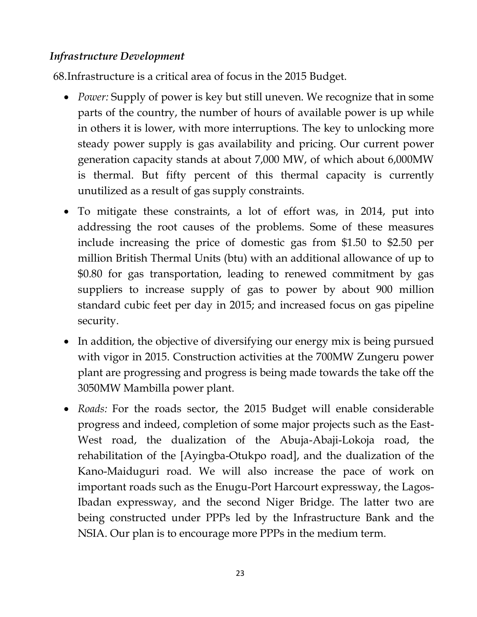## *Infrastructure Development*

68.Infrastructure is a critical area of focus in the 2015 Budget.

- *Power:* Supply of power is key but still uneven. We recognize that in some parts of the country, the number of hours of available power is up while in others it is lower, with more interruptions. The key to unlocking more steady power supply is gas availability and pricing. Our current power generation capacity stands at about 7,000 MW, of which about 6,000MW is thermal. But fifty percent of this thermal capacity is currently unutilized as a result of gas supply constraints.
- To mitigate these constraints, a lot of effort was, in 2014, put into addressing the root causes of the problems. Some of these measures include increasing the price of domestic gas from \$1.50 to \$2.50 per million British Thermal Units (btu) with an additional allowance of up to \$0.80 for gas transportation, leading to renewed commitment by gas suppliers to increase supply of gas to power by about 900 million standard cubic feet per day in 2015; and increased focus on gas pipeline security.
- In addition, the objective of diversifying our energy mix is being pursued with vigor in 2015. Construction activities at the 700MW Zungeru power plant are progressing and progress is being made towards the take off the 3050MW Mambilla power plant.
- *Roads:* For the roads sector, the 2015 Budget will enable considerable progress and indeed, completion of some major projects such as the East-West road, the dualization of the Abuja-Abaji-Lokoja road, the rehabilitation of the [Ayingba-Otukpo road], and the dualization of the Kano-Maiduguri road. We will also increase the pace of work on important roads such as the Enugu-Port Harcourt expressway, the Lagos-Ibadan expressway, and the second Niger Bridge. The latter two are being constructed under PPPs led by the Infrastructure Bank and the NSIA. Our plan is to encourage more PPPs in the medium term.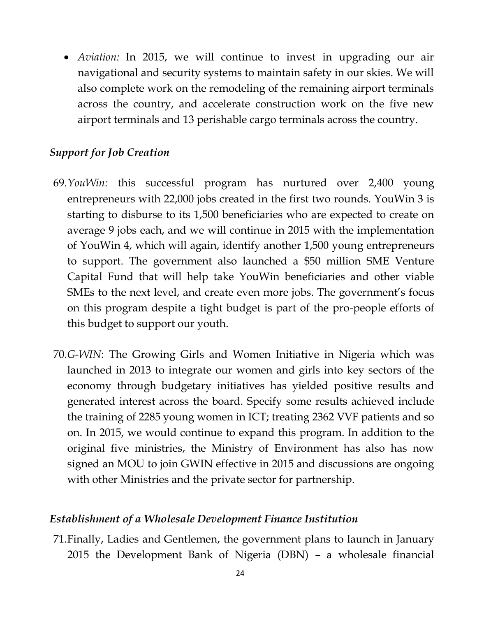*Aviation:* In 2015, we will continue to invest in upgrading our air navigational and security systems to maintain safety in our skies. We will also complete work on the remodeling of the remaining airport terminals across the country, and accelerate construction work on the five new airport terminals and 13 perishable cargo terminals across the country.

#### *Support for Job Creation*

- 69.*YouWin:* this successful program has nurtured over 2,400 young entrepreneurs with 22,000 jobs created in the first two rounds. YouWin 3 is starting to disburse to its 1,500 beneficiaries who are expected to create on average 9 jobs each, and we will continue in 2015 with the implementation of YouWin 4, which will again, identify another 1,500 young entrepreneurs to support. The government also launched a \$50 million SME Venture Capital Fund that will help take YouWin beneficiaries and other viable SMEs to the next level, and create even more jobs. The government's focus on this program despite a tight budget is part of the pro-people efforts of this budget to support our youth.
- 70.*G-WIN*: The Growing Girls and Women Initiative in Nigeria which was launched in 2013 to integrate our women and girls into key sectors of the economy through budgetary initiatives has yielded positive results and generated interest across the board. Specify some results achieved include the training of 2285 young women in ICT; treating 2362 VVF patients and so on. In 2015, we would continue to expand this program. In addition to the original five ministries, the Ministry of Environment has also has now signed an MOU to join GWIN effective in 2015 and discussions are ongoing with other Ministries and the private sector for partnership.

#### *Establishment of a Wholesale Development Finance Institution*

71.Finally, Ladies and Gentlemen, the government plans to launch in January 2015 the Development Bank of Nigeria (DBN) – a wholesale financial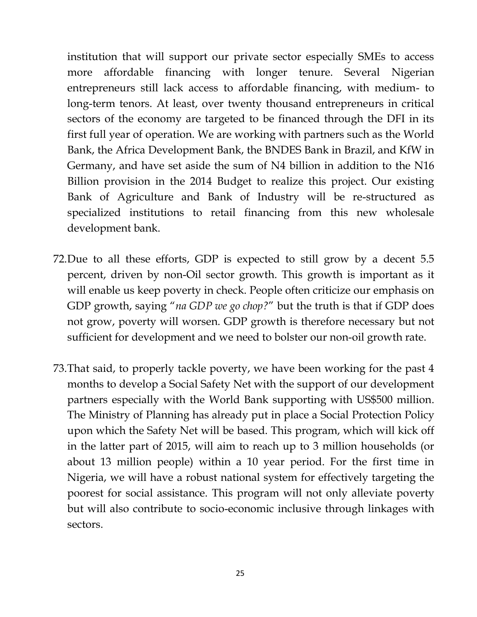institution that will support our private sector especially SMEs to access more affordable financing with longer tenure. Several Nigerian entrepreneurs still lack access to affordable financing, with medium- to long-term tenors. At least, over twenty thousand entrepreneurs in critical sectors of the economy are targeted to be financed through the DFI in its first full year of operation. We are working with partners such as the World Bank, the Africa Development Bank, the BNDES Bank in Brazil, and KfW in Germany, and have set aside the sum of N4 billion in addition to the N16 Billion provision in the 2014 Budget to realize this project. Our existing Bank of Agriculture and Bank of Industry will be re-structured as specialized institutions to retail financing from this new wholesale development bank.

- 72.Due to all these efforts, GDP is expected to still grow by a decent 5.5 percent, driven by non-Oil sector growth. This growth is important as it will enable us keep poverty in check. People often criticize our emphasis on GDP growth, saying "*na GDP we go chop?*" but the truth is that if GDP does not grow, poverty will worsen. GDP growth is therefore necessary but not sufficient for development and we need to bolster our non-oil growth rate.
- 73.That said, to properly tackle poverty, we have been working for the past 4 months to develop a Social Safety Net with the support of our development partners especially with the World Bank supporting with US\$500 million. The Ministry of Planning has already put in place a Social Protection Policy upon which the Safety Net will be based. This program, which will kick off in the latter part of 2015, will aim to reach up to 3 million households (or about 13 million people) within a 10 year period. For the first time in Nigeria, we will have a robust national system for effectively targeting the poorest for social assistance. This program will not only alleviate poverty but will also contribute to socio-economic inclusive through linkages with sectors.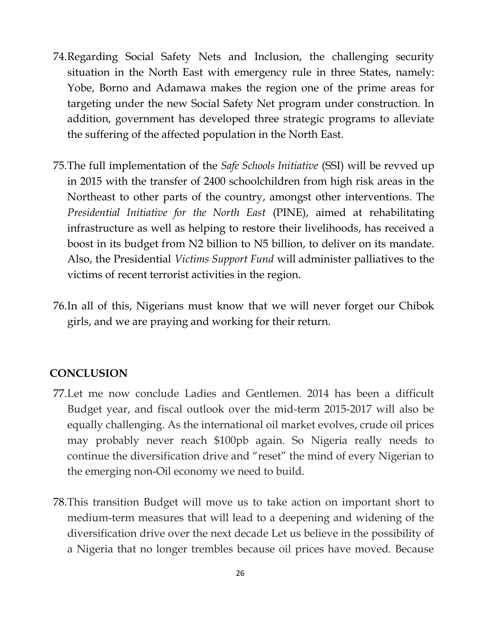- 74.Regarding Social Safety Nets and Inclusion, the challenging security situation in the North East with emergency rule in three States, namely: Yobe, Borno and Adamawa makes the region one of the prime areas for targeting under the new Social Safety Net program under construction. In addition, government has developed three strategic programs to alleviate the suffering of the affected population in the North East.
- 75.The full implementation of the *Safe Schools Initiative* (SSI) will be revved up in 2015 with the transfer of 2400 schoolchildren from high risk areas in the Northeast to other parts of the country, amongst other interventions. The *Presidential Initiative for the North East* (PINE), aimed at rehabilitating infrastructure as well as helping to restore their livelihoods, has received a boost in its budget from N2 billion to N5 billion, to deliver on its mandate. Also, the Presidential *Victims Support Fund* will administer palliatives to the victims of recent terrorist activities in the region.
- 76.In all of this, Nigerians must know that we will never forget our Chibok girls, and we are praying and working for their return.

#### **CONCLUSION**

- 77.Let me now conclude Ladies and Gentlemen. 2014 has been a difficult Budget year, and fiscal outlook over the mid-term 2015-2017 will also be equally challenging. As the international oil market evolves, crude oil prices may probably never reach \$100pb again. So Nigeria really needs to continue the diversification drive and "reset" the mind of every Nigerian to the emerging non-Oil economy we need to build.
- 78.This transition Budget will move us to take action on important short to medium-term measures that will lead to a deepening and widening of the diversification drive over the next decade Let us believe in the possibility of a Nigeria that no longer trembles because oil prices have moved. Because